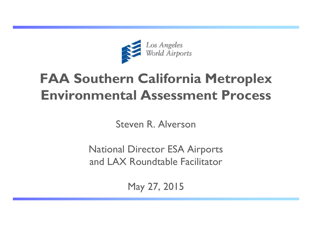

# **FAA Southern California Metroplex Environmental Assessment Process**

Steven R. Alverson

National Director ESA Airports and LAX Roundtable Facilitator

May 27, 2015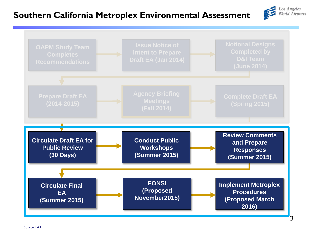### **Southern California Metroplex Environmental Assessment**



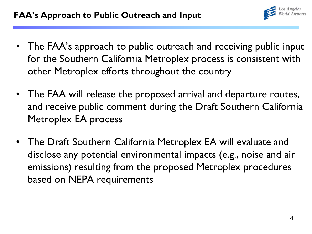

- The FAA's approach to public outreach and receiving public input for the Southern California Metroplex process is consistent with other Metroplex efforts throughout the country
- The FAA will release the proposed arrival and departure routes, and receive public comment during the Draft Southern California Metroplex EA process
- The Draft Southern California Metroplex EA will evaluate and disclose any potential environmental impacts (e.g., noise and air emissions) resulting from the proposed Metroplex procedures based on NEPA requirements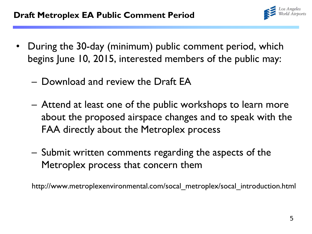

- During the 30-day (minimum) public comment period, which begins June 10, 2015, interested members of the public may:
	- Download and review the Draft EA
	- Attend at least one of the public workshops to learn more about the proposed airspace changes and to speak with the FAA directly about the Metroplex process
	- Submit written comments regarding the aspects of the Metroplex process that concern them

http://www.metroplexenvironmental.com/socal\_metroplex/socal\_introduction.html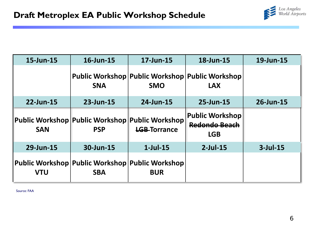

| 15-Jun-15  | 16-Jun-15                                                      | 17-Jun-15                                                     | 18-Jun-15                                                    | 19-Jun-15   |
|------------|----------------------------------------------------------------|---------------------------------------------------------------|--------------------------------------------------------------|-------------|
|            | <b>SNA</b>                                                     | Public Workshop Public Workshop Public Workshop<br><b>SMO</b> | <b>LAX</b>                                                   |             |
| 22-Jun-15  | 23-Jun-15                                                      | 24-Jun-15                                                     | 25-Jun-15                                                    | 26-Jun-15   |
| <b>SAN</b> | Public Workshop Public Workshop Public Workshop<br><b>PSP</b>  | <b>LGB-Torrance</b>                                           | <b>Public Workshop</b><br><b>Redondo Beach</b><br><b>LGB</b> |             |
| 29-Jun-15  | 30-Jun-15                                                      | $1$ -Jul-15                                                   | $2$ -Jul-15                                                  | $3$ -Jul-15 |
| <b>VTU</b> | Public Workshop Public Workshop Public Workshop <br><b>SBA</b> | <b>BUR</b>                                                    |                                                              |             |

Source: FAA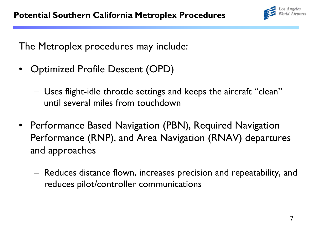

The Metroplex procedures may include:

- Optimized Profile Descent (OPD)
	- Uses flight-idle throttle settings and keeps the aircraft "clean" until several miles from touchdown
- Performance Based Navigation (PBN), Required Navigation Performance (RNP), and Area Navigation (RNAV) departures and approaches
	- Reduces distance flown, increases precision and repeatability, and reduces pilot/controller communications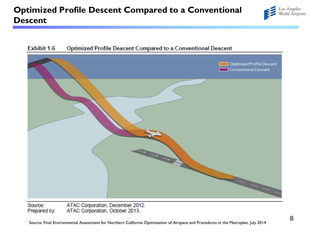### **Optimized Profile Descent Compared to a Conventional Descent**





### Exhibit 1-6 Optimized Profile Descent Compared to a Conventional Descent

ATAC Corporation, December 2012. Source: Prepared by: ATAC Corporation, October 2013.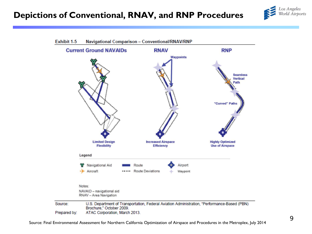



Source: Final Environmental Assessment for Northern California Optimization of Airspace and Procedures in the Metroplex, July 2014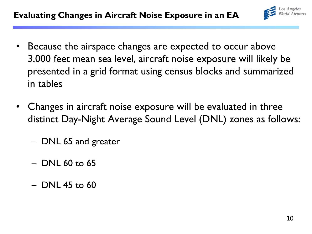

- Because the airspace changes are expected to occur above 3,000 feet mean sea level, aircraft noise exposure will likely be presented in a grid format using census blocks and summarized in tables
- Changes in aircraft noise exposure will be evaluated in three distinct Day-Night Average Sound Level (DNL) zones as follows:
	- DNL 65 and greater
	- DNL 60 to 65
	- $-$  DNL 45 to 60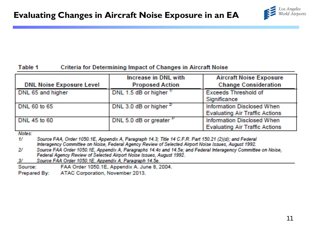

#### Criteria for Determining Impact of Changes in Aircraft Noise Table 1

| <b>DNL Noise Exposure Level</b> | Increase in DNL with<br><b>Proposed Action</b> | <b>Aircraft Noise Exposure</b><br><b>Change Consideration</b>              |
|---------------------------------|------------------------------------------------|----------------------------------------------------------------------------|
| DNL 65 and higher               | DNL 1.5 dB or higher 1/                        | <b>Exceeds Threshold of</b><br>Significance                                |
| DNL 60 to 65                    | DNL 3.0 dB or higher $^{2}$                    | <b>Information Disclosed When</b><br><b>Evaluating Air Traffic Actions</b> |
| DNL 45 to 60                    | DNL 5.0 dB or greater <sup>37</sup>            | Information Disclosed When<br><b>Evaluating Air Traffic Actions</b>        |

**Notes:** 

Source FAA, Order 1050.1E, Appendix A, Paragraph 14.3; Title 14 C.F.R. Part 150.21 (2)(d); and Federal 17 Interagency Committee on Noise, Federal Agency Review of Selected Airport Noise Issues, August 1992.

- $2f$ Source FAA Order 1050.1E, Appendix A, Paragraphs 14.4c and 14.5e; and Federal Interagency Committee on Noise, Federal Agency Review of Selected Airport Noise Issues, August 1992.
- W. Source FAA Order 1050.1E, Appendix A, Paragraph 14.5e.

FAA Order 1050.1E, Appendix A. June 8, 2004. Source: I

ATAC Corporation, November 2013. Prepared By: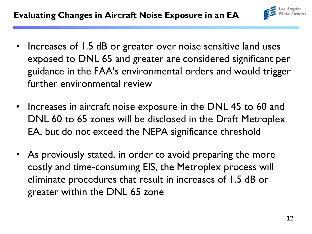- Increases of 1.5 dB or greater over noise sensitive land uses exposed to DNL 65 and greater are considered significant per guidance in the FAA's environmental orders and would trigger further environmental review
- Increases in aircraft noise exposure in the DNL 45 to 60 and DNL 60 to 65 zones will be disclosed in the Draft Metroplex EA, but do not exceed the NEPA significance threshold
- As previously stated, in order to avoid preparing the more costly and time-consuming EIS, the Metroplex process will eliminate procedures that result in increases of 1.5 dB or greater within the DNL 65 zone

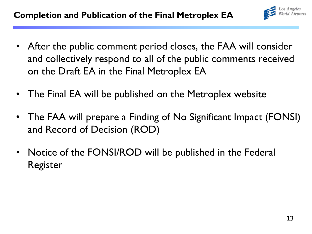

- After the public comment period closes, the FAA will consider and collectively respond to all of the public comments received on the Draft EA in the Final Metroplex EA
- The Final EA will be published on the Metroplex website
- The FAA will prepare a Finding of No Significant Impact (FONSI) and Record of Decision (ROD)
- Notice of the FONSI/ROD will be published in the Federal Register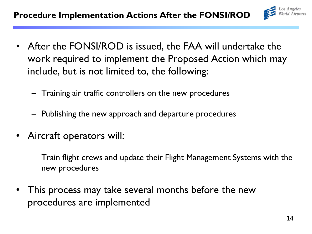

- After the FONSI/ROD is issued, the FAA will undertake the work required to implement the Proposed Action which may include, but is not limited to, the following:
	- Training air traffic controllers on the new procedures
	- Publishing the new approach and departure procedures
- Aircraft operators will:
	- Train flight crews and update their Flight Management Systems with the new procedures
- This process may take several months before the new procedures are implemented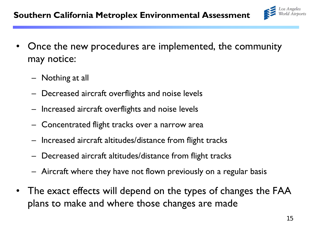

- Once the new procedures are implemented, the community may notice:
	- Nothing at all
	- Decreased aircraft overflights and noise levels
	- Increased aircraft overflights and noise levels
	- Concentrated flight tracks over a narrow area
	- Increased aircraft altitudes/distance from flight tracks
	- Decreased aircraft altitudes/distance from flight tracks
	- Aircraft where they have not flown previously on a regular basis
- The exact effects will depend on the types of changes the FAA plans to make and where those changes are made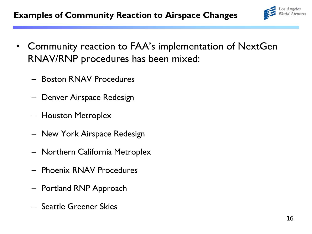

- Community reaction to FAA's implementation of NextGen RNAV/RNP procedures has been mixed:
	- Boston RNAV Procedures
	- Denver Airspace Redesign
	- Houston Metroplex
	- New York Airspace Redesign
	- Northern California Metroplex
	- Phoenix RNAV Procedures
	- Portland RNP Approach
	- Seattle Greener Skies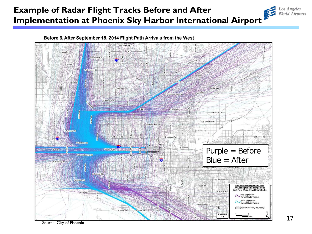## **Example of Radar Flight Tracks Before and After Implementation at Phoenix Sky Harbor International Airport**



Before & After September 18, 2014 Flight Path Arrivals from the West

Source: City of Phoenix

Los Angeles<br>World Airports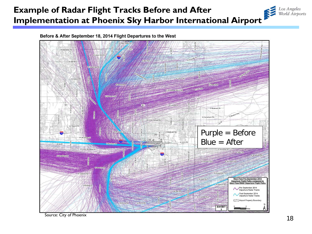## **Example of Radar Flight Tracks Before and After Implementation at Phoenix Sky Harbor International Airport**

Before & After September 18, 2014 Flight Departures to the West



Source: City of Phoenix

Los Angeles<br>World Airports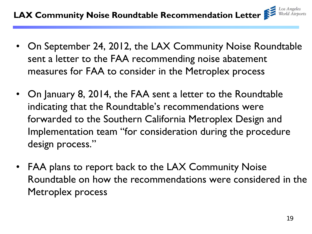- On September 24, 2012, the LAX Community Noise Roundtable sent a letter to the FAA recommending noise abatement measures for FAA to consider in the Metroplex process
- On January 8, 2014, the FAA sent a letter to the Roundtable indicating that the Roundtable's recommendations were forwarded to the Southern California Metroplex Design and Implementation team "for consideration during the procedure design process."
- FAA plans to report back to the LAX Community Noise Roundtable on how the recommendations were considered in the Metroplex process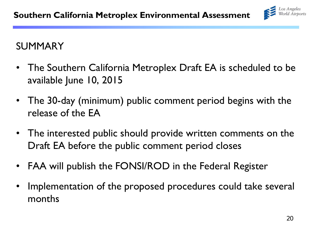

## SUMMARY

- The Southern California Metroplex Draft EA is scheduled to be available June 10, 2015
- The 30-day (minimum) public comment period begins with the release of the EA
- The interested public should provide written comments on the Draft EA before the public comment period closes
- FAA will publish the FONSI/ROD in the Federal Register
- Implementation of the proposed procedures could take several months